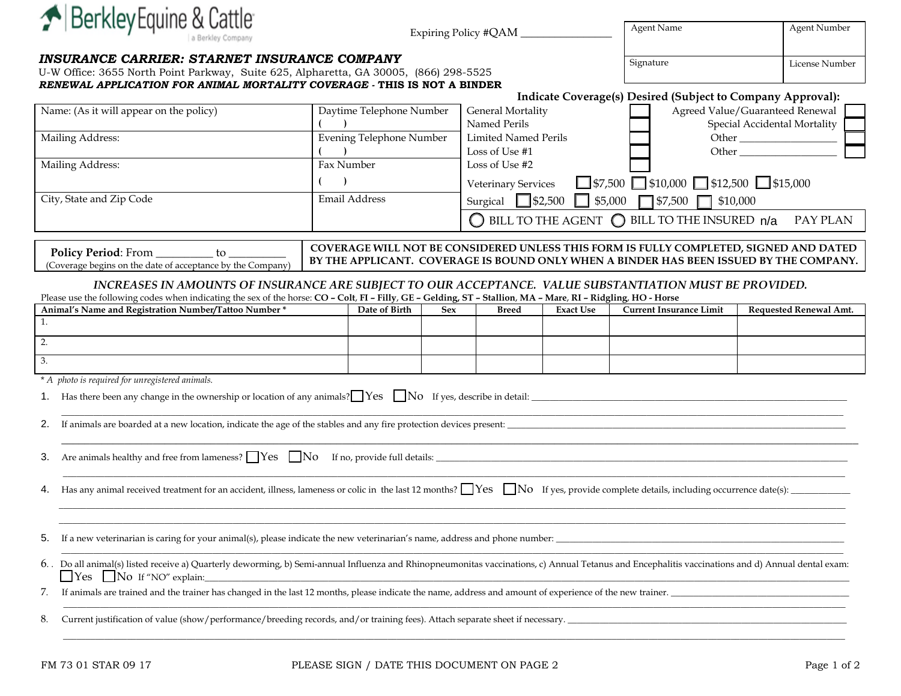| Berkley Equine & Cattle                                                                                                                                                                                                                                                                | Expiring Policy #QAM            |               |                                                                                              | <b>Agent Name</b>                                                          | <b>Agent Number</b> |                                                             |                                                                 |  |
|----------------------------------------------------------------------------------------------------------------------------------------------------------------------------------------------------------------------------------------------------------------------------------------|---------------------------------|---------------|----------------------------------------------------------------------------------------------|----------------------------------------------------------------------------|---------------------|-------------------------------------------------------------|-----------------------------------------------------------------|--|
| <b>INSURANCE CARRIER: STARNET INSURANCE COMPANY</b><br>U-W Office: 3655 North Point Parkway, Suite 625, Alpharetta, GA 30005, (866) 298-5525<br>RENEWAL APPLICATION FOR ANIMAL MORTALITY COVERAGE - THIS IS NOT A BINDER                                                               |                                 |               |                                                                                              |                                                                            |                     | Signature                                                   | License Number                                                  |  |
|                                                                                                                                                                                                                                                                                        |                                 |               |                                                                                              |                                                                            |                     | Indicate Coverage(s) Desired (Subject to Company Approval): |                                                                 |  |
| Name: (As it will appear on the policy)                                                                                                                                                                                                                                                | Daytime Telephone Number        |               |                                                                                              | <b>General Mortality</b><br>Named Perils                                   |                     |                                                             | Agreed Value/Guaranteed Renewal<br>Special Accidental Mortality |  |
| Mailing Address:                                                                                                                                                                                                                                                                       | <b>Evening Telephone Number</b> |               | <b>Limited Named Perils</b><br>Loss of Use #1                                                |                                                                            |                     | Other $\_\_$                                                |                                                                 |  |
| Mailing Address:                                                                                                                                                                                                                                                                       | Fax Number                      |               | Loss of Use #2                                                                               |                                                                            |                     |                                                             |                                                                 |  |
|                                                                                                                                                                                                                                                                                        |                                 |               | $\Box$ \$7,500 $\Box$ \$10,000 $\Box$ \$12,500 $\Box$ \$15,000<br><b>Veterinary Services</b> |                                                                            |                     |                                                             |                                                                 |  |
| City, State and Zip Code                                                                                                                                                                                                                                                               | Email Address                   |               |                                                                                              | Surgical \\$2,500 \\$5,000 \\$7,500 \\$10,000                              |                     |                                                             |                                                                 |  |
|                                                                                                                                                                                                                                                                                        |                                 |               |                                                                                              | $\bigcirc$ BILL TO THE AGENT $\bigcirc$ BILL TO THE INSURED $n/a$ PAY PLAN |                     |                                                             |                                                                 |  |
| COVERAGE WILL NOT BE CONSIDERED UNLESS THIS FORM IS FULLY COMPLETED, SIGNED AND DATED<br>Policy Period: From __________ to ___<br>BY THE APPLICANT. COVERAGE IS BOUND ONLY WHEN A BINDER HAS BEEN ISSUED BY THE COMPANY.<br>(Coverage begins on the date of acceptance by the Company) |                                 |               |                                                                                              |                                                                            |                     |                                                             |                                                                 |  |
| INCREASES IN AMOUNTS OF INSURANCE ARE SUBJECT TO OUR ACCEPTANCE. VALUE SUBSTANTIATION MUST BE PROVIDED.<br>Please use the following codes when indicating the sex of the horse: CO - Colt, FI - Filly, GE - Gelding, ST - Stallion, MA - Mare, RI - Ridgling, HO - Horse               |                                 |               |                                                                                              |                                                                            |                     |                                                             |                                                                 |  |
| Animal's Name and Registration Number/Tattoo Number *                                                                                                                                                                                                                                  |                                 | Date of Birth | <b>Sex</b>                                                                                   | <b>Breed</b>                                                               | <b>Exact Use</b>    | <b>Current Insurance Limit</b>                              | <b>Requested Renewal Amt.</b>                                   |  |
| 1.                                                                                                                                                                                                                                                                                     |                                 |               |                                                                                              |                                                                            |                     |                                                             |                                                                 |  |
| 2.                                                                                                                                                                                                                                                                                     |                                 |               |                                                                                              |                                                                            |                     |                                                             |                                                                 |  |
| 3.                                                                                                                                                                                                                                                                                     |                                 |               |                                                                                              |                                                                            |                     |                                                             |                                                                 |  |
| * A photo is required for unregistered animals.                                                                                                                                                                                                                                        |                                 |               |                                                                                              |                                                                            |                     |                                                             |                                                                 |  |
| Has there been any change in the ownership or location of any animals? $\Box$ Yes $\Box$ No If yes, describe in detail:<br>1.                                                                                                                                                          |                                 |               |                                                                                              |                                                                            |                     |                                                             |                                                                 |  |
| <u> 1989 - Johann Stoff, amerikansk politiker (d. 1989)</u><br>If animals are boarded at a new location, indicate the age of the stables and any fire protection devices present:<br>2.                                                                                                |                                 |               |                                                                                              |                                                                            |                     |                                                             |                                                                 |  |
| Are animals healthy and free from lameness? $\Box$ Yes $\Box$ No If no, provide full details:<br>3.                                                                                                                                                                                    |                                 |               |                                                                                              |                                                                            |                     |                                                             |                                                                 |  |
| Has any animal received treatment for an accident, illness, lameness or colic in the last 12 months? $\Box$ Yes $\Box$ No If yes, provide complete details, including occurrence date(s):                                                                                              |                                 |               |                                                                                              |                                                                            |                     |                                                             |                                                                 |  |
|                                                                                                                                                                                                                                                                                        |                                 |               |                                                                                              |                                                                            |                     |                                                             |                                                                 |  |
| If a new veterinarian is caring for your animal(s), please indicate the new veterinarian's name, address and phone number:<br>5.                                                                                                                                                       |                                 |               |                                                                                              |                                                                            |                     |                                                             |                                                                 |  |
| 6. Do all animal(s) listed receive a) Quarterly deworming, b) Semi-annual Influenza and Rhinopneumonitas vaccinations, c) Annual Tetanus and Encephalitis vaccinations and d) Annual dental exam:<br>$\blacksquare$ Yes $\blacksquare$ No If "NO" explain:                             |                                 |               |                                                                                              |                                                                            |                     |                                                             |                                                                 |  |
| If animals are trained and the trainer has changed in the last 12 months, please indicate the name, address and amount of experience of the new trainer.<br>7.                                                                                                                         |                                 |               |                                                                                              |                                                                            |                     |                                                             |                                                                 |  |
| Current justification of value (show/performance/breeding records, and/or training fees). Attach separate sheet if necessary.<br>8.                                                                                                                                                    |                                 |               |                                                                                              |                                                                            |                     |                                                             |                                                                 |  |